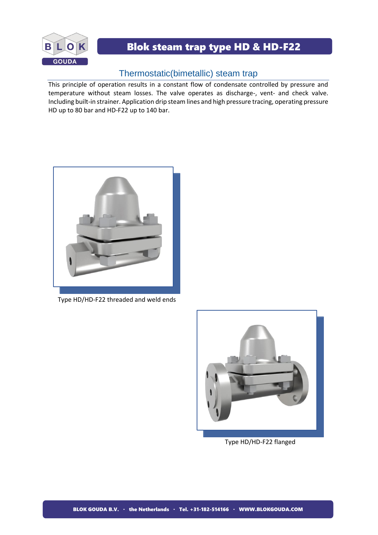

## Blok steam trap type HD & HD-F22

## Thermostatic(bimetallic) steam trap

This principle of operation results in a constant flow of condensate controlled by pressure and temperature without steam losses. The valve operates as discharge-, vent- and check valve. Including built-in strainer. Application drip steam lines and high pressure tracing, operating pressure HD up to 80 bar and HD-F22 up to 140 bar.



Type HD/HD-F22 threaded and weld ends



Type HD/HD-F22 flanged